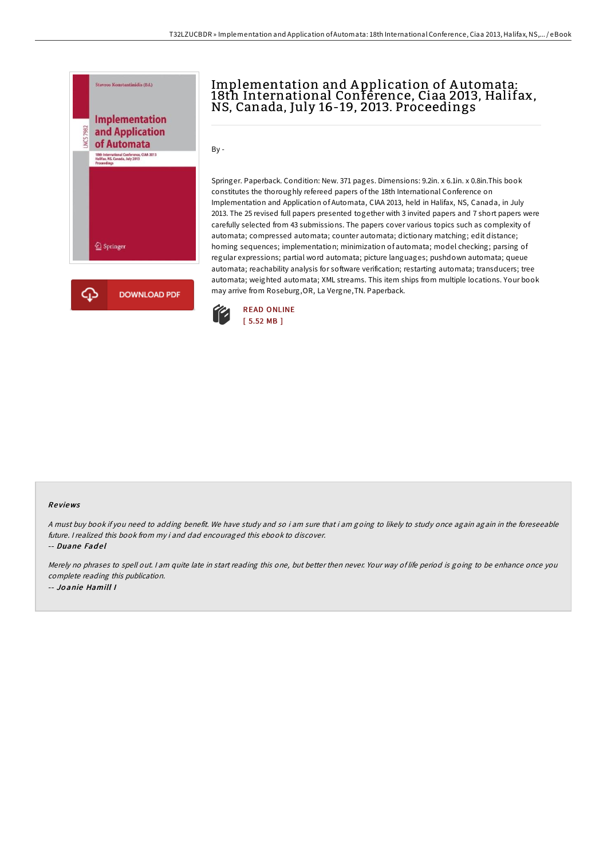

## Implementation and A pplication of A utomata: 18th International Conference, Ciaa 2013, Halifax,<br>NS, Canada, July 16-19, 2013. Proceedings

By -

Springer. Paperback. Condition: New. 371 pages. Dimensions: 9.2in. x 6.1in. x 0.8in.This book constitutes the thoroughly refereed papers of the 18th International Conference on Implementation and Application of Automata, CIAA 2013, held in Halifax, NS, Canada, in July 2013. The 25 revised full papers presented together with 3 invited papers and 7 short papers were carefully selected from 43 submissions. The papers cover various topics such as complexity of automata; compressed automata; counter automata; dictionary matching; edit distance; homing sequences; implementation; minimization of automata; model checking; parsing of regular expressions; partial word automata; picture languages; pushdown automata; queue automata; reachability analysis for software verification; restarting automata; transducers; tree automata; weighted automata; XML streams. This item ships from multiple locations. Your book may arrive from Roseburg,OR, La Vergne,TN. Paperback.



## Re views

<sup>A</sup> must buy book if you need to adding benefit. We have study and so i am sure that i am going to likely to study once again again in the foreseeable future. <sup>I</sup> realized this book from my i and dad encouraged this ebook to discover.

-- Duane Fadel

Merely no phrases to spell out. <sup>I</sup> am quite late in start reading this one, but better then never. Your way of life period is going to be enhance once you complete reading this publication. -- Jo anie Hamill I